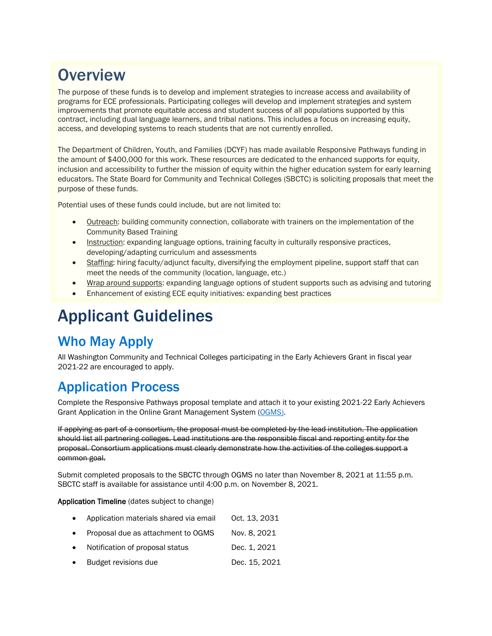## **Overview**

The purpose of these funds is to develop and implement strategies to increase access and availability of programs for ECE professionals. Participating colleges will develop and implement strategies and system improvements that promote equitable access and student success of all populations supported by this contract, including dual language learners, and tribal nations. This includes a focus on increasing equity, access, and developing systems to reach students that are not currently enrolled.

The Department of Children, Youth, and Families (DCYF) has made available Responsive Pathways funding in the amount of \$400,000 for this work. These resources are dedicated to the enhanced supports for equity. inclusion and accessibility to further the mission of equity within the higher education system for early learning educators. The State Board for Community and Technical Colleges (SBCTC) is soliciting proposals that meet the purpose of these funds.

Potential uses of these funds could include, but are not limited to:

- Outreach: building community connection, collaborate with trainers on the implementation of the Community Based Training
- Instruction: expanding language options, training faculty in culturally responsive practices, developing/adapting curriculum and assessments
- Staffing: hiring faculty/adjunct faculty, diversifying the employment pipeline, support staff that can meet the needs of the community (location, language, etc.)
- Wrap around supports: expanding language options of student supports such as advising and tutoring
- Enhancement of existing ECE equity initiatives: expanding best practices

# Applicant Guidelines

### Who May Apply

All Washington Community and Technical Colleges participating in the Early Achievers Grant in fiscal year 2021-22 are encouraged to apply.

### Application Process

Complete the Responsive Pathways proposal template and attach it to your existing 2021-22 Early Achievers Grant Application in the Online Grant Management System [\(OGMS\)](https://ogms.sbctc.edu/).

If applying as part of a consortium, the proposal must be completed by the lead institution. The application should list all partnering colleges. Lead institutions are the responsible fiscal and reporting entity for the proposal. Consortium applications must clearly demonstrate how the activities of the colleges support a common goal.

Submit completed proposals to the SBCTC through OGMS no later than November 8, 2021 at 11:55 p.m. SBCTC staff is available for assistance until 4:00 p.m. on November 8, 2021.

Application Timeline (dates subject to change)

- Application materials shared via email Oct. 13, 2031
- Proposal due as attachment to OGMS Nov. 8, 2021
- Notification of proposal status Dec. 1, 2021
- **Budget revisions due Dec. 15, 2021**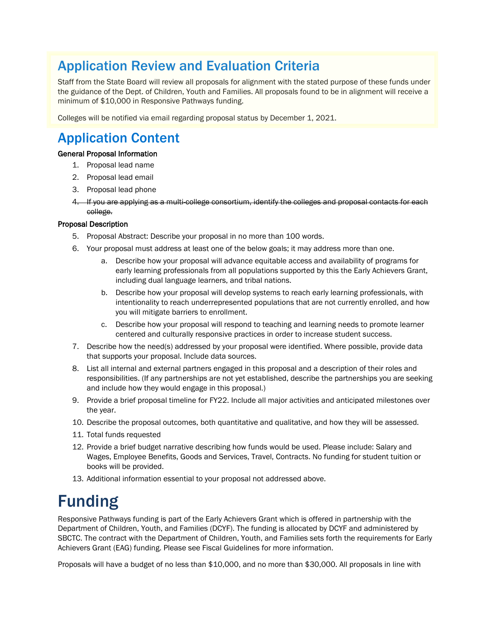### Application Review and Evaluation Criteria

Staff from the State Board will review all proposals for alignment with the stated purpose of these funds under the guidance of the Dept. of Children, Youth and Families. All proposals found to be in alignment will receive a minimum of \$10,000 in Responsive Pathways funding.

Colleges will be notified via email regarding proposal status by December 1, 2021.

### Application Content

#### General Proposal Information

- 1. Proposal lead name
- 2. Proposal lead email
- 3. Proposal lead phone
- 4. If you are applying as a multi-college consortium, identify the colleges and proposal contacts for each college.

#### Proposal Description

- 5. Proposal Abstract: Describe your proposal in no more than 100 words.
- 6. Your proposal must address at least one of the below goals; it may address more than one.
	- a. Describe how your proposal will advance equitable access and availability of programs for early learning professionals from all populations supported by this the Early Achievers Grant, including dual language learners, and tribal nations.
	- b. Describe how your proposal will develop systems to reach early learning professionals, with intentionality to reach underrepresented populations that are not currently enrolled, and how you will mitigate barriers to enrollment.
	- c. Describe how your proposal will respond to teaching and learning needs to promote learner centered and culturally responsive practices in order to increase student success.
- 7. Describe how the need(s) addressed by your proposal were identified. Where possible, provide data that supports your proposal. Include data sources.
- 8. List all internal and external partners engaged in this proposal and a description of their roles and responsibilities. (If any partnerships are not yet established, describe the partnerships you are seeking and include how they would engage in this proposal.)
- 9. Provide a brief proposal timeline for FY22. Include all major activities and anticipated milestones over the year.
- 10. Describe the proposal outcomes, both quantitative and qualitative, and how they will be assessed.
- 11. Total funds requested
- 12. Provide a brief budget narrative describing how funds would be used. Please include: Salary and Wages, Employee Benefits, Goods and Services, Travel, Contracts. No funding for student tuition or books will be provided.
- 13. Additional information essential to your proposal not addressed above.

# Funding

Responsive Pathways funding is part of the Early Achievers Grant which is offered in partnership with the Department of Children, Youth, and Families (DCYF). The funding is allocated by DCYF and administered by SBCTC. The contract with the Department of Children, Youth, and Families sets forth the requirements for Early Achievers Grant (EAG) funding. Please see Fiscal Guidelines for more information.

Proposals will have a budget of no less than \$10,000, and no more than \$30,000. All proposals in line with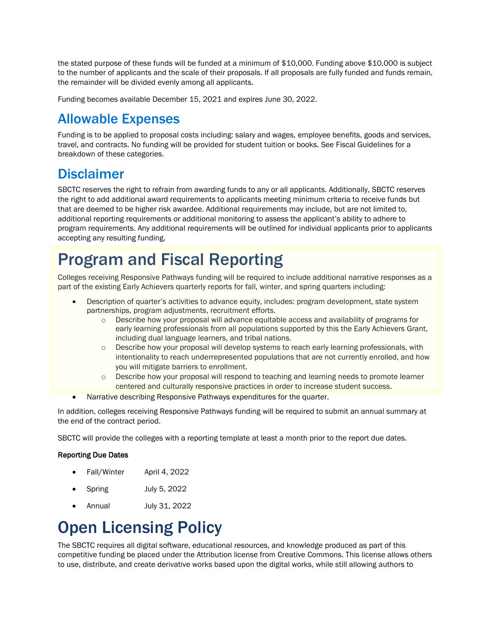the stated purpose of these funds will be funded at a minimum of \$10,000. Funding above \$10,000 is subject to the number of applicants and the scale of their proposals. If all proposals are fully funded and funds remain, the remainder will be divided evenly among all applicants.

Funding becomes available December 15, 2021 and expires June 30, 2022.

#### Allowable Expenses

Funding is to be applied to proposal costs including: salary and wages, employee benefits, goods and services, travel, and contracts. No funding will be provided for student tuition or books. See Fiscal Guidelines for a breakdown of these categories.

#### **Disclaimer**

SBCTC reserves the right to refrain from awarding funds to any or all applicants. Additionally, SBCTC reserves the right to add additional award requirements to applicants meeting minimum criteria to receive funds but that are deemed to be higher risk awardee. Additional requirements may include, but are not limited to, additional reporting requirements or additional monitoring to assess the applicant's ability to adhere to program requirements. Any additional requirements will be outlined for individual applicants prior to applicants accepting any resulting funding.

## Program and Fiscal Reporting

Colleges receiving Responsive Pathways funding will be required to include additional narrative responses as a part of the existing Early Achievers quarterly reports for fall, winter, and spring quarters including:

- Description of quarter's activities to advance equity, includes: program development, state system partnerships, program adjustments, recruitment efforts.
	- $\circ$  Describe how your proposal will advance equitable access and availability of programs for early learning professionals from all populations supported by this the Early Achievers Grant, including dual language learners, and tribal nations.
	- $\circ$  Describe how your proposal will develop systems to reach early learning professionals, with intentionality to reach underrepresented populations that are not currently enrolled, and how you will mitigate barriers to enrollment.
	- o Describe how your proposal will respond to teaching and learning needs to promote learner centered and culturally responsive practices in order to increase student success.
- Narrative describing Responsive Pathways expenditures for the quarter.

In addition, colleges receiving Responsive Pathways funding will be required to submit an annual summary at the end of the contract period.

SBCTC will provide the colleges with a reporting template at least a month prior to the report due dates.

#### Reporting Due Dates

- Fall/Winter April 4, 2022
- Spring July 5, 2022
- Annual July 31, 2022

## Open Licensing Policy

The SBCTC requires all digital software, educational resources, and knowledge produced as part of this competitive funding be placed under the Attribution license from Creative Commons. This license allows others to use, distribute, and create derivative works based upon the digital works, while still allowing authors to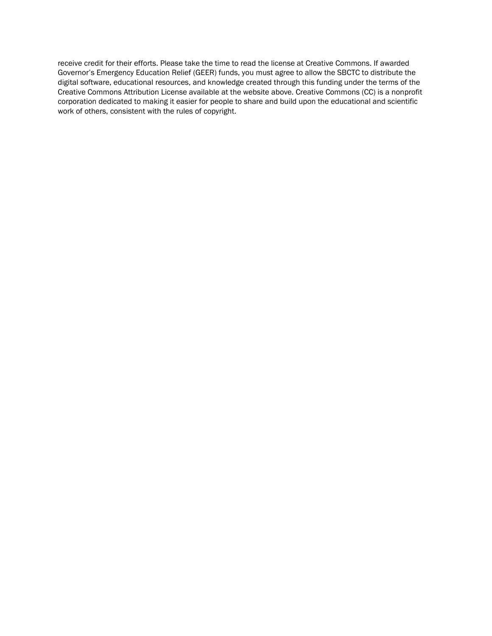receive credit for their efforts. Please take the time to read the license at Creative Commons. If awarded Governor's Emergency Education Relief (GEER) funds, you must agree to allow the SBCTC to distribute the digital software, educational resources, and knowledge created through this funding under the terms of the Creative Commons Attribution License available at the website above. Creative Commons (CC) is a nonprofit corporation dedicated to making it easier for people to share and build upon the educational and scientific work of others, consistent with the rules of copyright.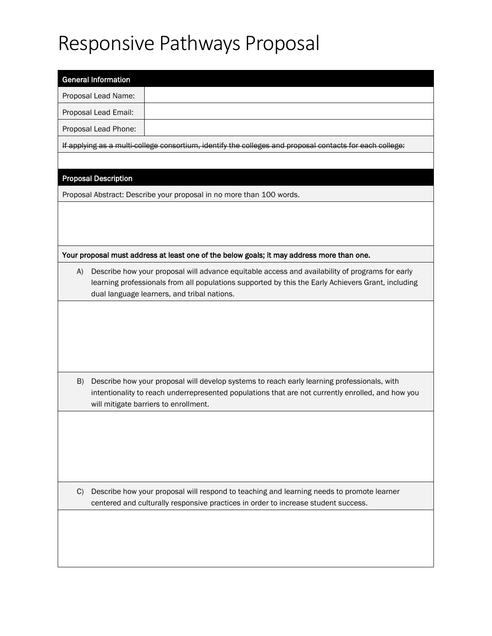# Responsive Pathways Proposal

| <b>General Information</b>                                                                                                                        |
|---------------------------------------------------------------------------------------------------------------------------------------------------|
| Proposal Lead Name:                                                                                                                               |
| Proposal Lead Email:                                                                                                                              |
| Proposal Lead Phone:                                                                                                                              |
| If applying as a multi college consortium, identify the colleges and proposal contacts for each college:                                          |
|                                                                                                                                                   |
| <b>Proposal Description</b>                                                                                                                       |
| Proposal Abstract: Describe your proposal in no more than 100 words.                                                                              |
|                                                                                                                                                   |
|                                                                                                                                                   |
|                                                                                                                                                   |
| Your proposal must address at least one of the below goals; it may address more than one.                                                         |
| Describe how your proposal will advance equitable access and availability of programs for early<br>A)                                             |
| learning professionals from all populations supported by this the Early Achievers Grant, including<br>dual language learners, and tribal nations. |
|                                                                                                                                                   |
|                                                                                                                                                   |
|                                                                                                                                                   |
|                                                                                                                                                   |
|                                                                                                                                                   |
| B)<br>Describe how your proposal will develop systems to reach early learning professionals, with                                                 |
| intentionality to reach underrepresented populations that are not currently enrolled, and how you<br>will mitigate barriers to enrollment.        |
|                                                                                                                                                   |
|                                                                                                                                                   |
|                                                                                                                                                   |
|                                                                                                                                                   |
|                                                                                                                                                   |
| C)<br>Describe how your proposal will respond to teaching and learning needs to promote learner                                                   |
| centered and culturally responsive practices in order to increase student success.                                                                |
|                                                                                                                                                   |
|                                                                                                                                                   |
|                                                                                                                                                   |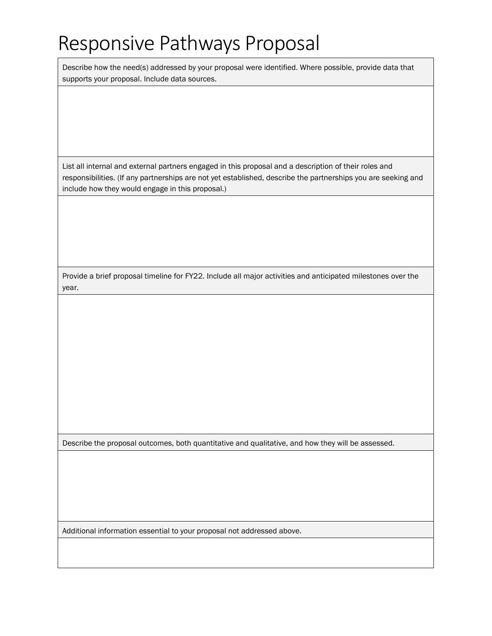# Responsive Pathways Proposal

Describe how the need(s) addressed by your proposal were identified. Where possible, provide data that supports your proposal. Include data sources.

List all internal and external partners engaged in this proposal and a description of their roles and responsibilities. (If any partnerships are not yet established, describe the partnerships you are seeking and include how they would engage in this proposal.)

Provide a brief proposal timeline for FY22. Include all major activities and anticipated milestones over the year.

Describe the proposal outcomes, both quantitative and qualitative, and how they will be assessed.

Additional information essential to your proposal not addressed above.